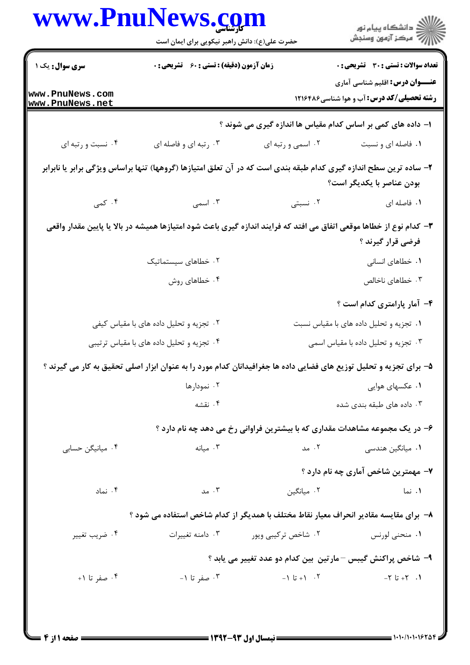| <b>WWW.PnuN</b>                                                                                                                          | <b>News.com</b><br>حضرت علی(ع): دانش راهبر نیکویی برای ایمان است                   |                                                             | ڪ دانشڪاه پيام نور<br>ر∕ = مرڪز آزمون وسنڊش                                                                                                     |  |
|------------------------------------------------------------------------------------------------------------------------------------------|------------------------------------------------------------------------------------|-------------------------------------------------------------|-------------------------------------------------------------------------------------------------------------------------------------------------|--|
| <b>سری سوال :</b> یک ۱                                                                                                                   | زمان آزمون (دقیقه) : تستی : 60 ٪ تشریحی : 0                                        |                                                             | <b>تعداد سوالات : تستی : 30 - تشریحی : 0</b>                                                                                                    |  |
| www.PnuNews.com<br>www.PnuNews.net                                                                                                       |                                                                                    |                                                             | <b>عنـــوان درس:</b> اقلیم شناسی آماری<br><b>رشته تحصیلی/کد درس:</b> آب و هوا شناسی4۲۱۶۴۸۶                                                      |  |
|                                                                                                                                          |                                                                                    | ا– داده های کمی بر اساس کدام مقیاس ها اندازه گیری می شوند ؟ |                                                                                                                                                 |  |
| ۰۴ نسبت و رتبه ای                                                                                                                        | ۰۳ رتبه ای و فاصله ای                                                              | ۰۲ اسمي و رتبه اي                                           | ۰۱ فاصله ای و نسبت                                                                                                                              |  |
|                                                                                                                                          |                                                                                    |                                                             | ۲– ساده ترین سطح اندازه گیری کدام طبقه بندی است که در آن تعلق امتیازها (گروهها) تنها براساس ویژگی برابر یا نابرابر<br>بودن عناصر با يكديگر است؟ |  |
| ۰۴ کمی                                                                                                                                   | ۰۳ اسمی                                                                            | ۰۲ نسبتی                                                    | ۰۱ فاصله ای                                                                                                                                     |  |
| ۳– کدام نوع از خطاها موقعی اتفاق می افتد که فرایند اندازه گیری باعث شود امتیازها همیشه در بالا یا پایین مقدار واقعی<br>فرضی قرار گیرند ؟ |                                                                                    |                                                             |                                                                                                                                                 |  |
|                                                                                                                                          | ۰۲ خطاهای سیستماتیک                                                                |                                                             | ۰۱ خطاهای انسانی                                                                                                                                |  |
|                                                                                                                                          | ۰۴ خطاهای روش                                                                      |                                                             | ۰۳ خطاهای ناخالص                                                                                                                                |  |
|                                                                                                                                          |                                                                                    |                                                             | ۴- آمار پارامتری کدام است ؟                                                                                                                     |  |
|                                                                                                                                          | ۰۲ تجزیه و تحلیل داده های با مقیاس کیفی<br>٠١ تجزيه و تحليل داده هاى با مقياس نسبت |                                                             |                                                                                                                                                 |  |
| ۰۴ تجزیه و تحلیل داده های با مقیاس ترتیبی                                                                                                |                                                                                    | ۰۳ تجزیه و تحلیل داده با مقیاس اسمی                         |                                                                                                                                                 |  |
|                                                                                                                                          |                                                                                    |                                                             | ۵- برای تجزیه و تحلیل توزیع های فضایی داده ها جغرافیدانان کدام مورد را به عنوان ابزار اصلی تحقیق به کار می گیرند ؟                              |  |
|                                                                                                                                          | ۰۲ نمودارها                                                                        |                                                             | ۰۱ عکسهای هوایی                                                                                                                                 |  |
|                                                                                                                                          | ۰۴ نقشه                                                                            |                                                             | ۰۳ داده های طبقه بندی شده                                                                                                                       |  |
|                                                                                                                                          |                                                                                    |                                                             | ۶– در یک مجموعه مشاهدات مقداری که با بیشترین فراوانی رخ می دهد چه نام دارد ؟                                                                    |  |
| ۰۴ میانیگن حسابی                                                                                                                         | ۰۳ میانه                                                                           | ۰۲ مد                                                       | ۰۱ میانگین هندسی                                                                                                                                |  |
|                                                                                                                                          |                                                                                    |                                                             | ۷– مهمترین شاخص آماری چه نام دارد ؟                                                                                                             |  |
| ۰۴ نماد                                                                                                                                  | ۰۳ مد $\cdot$                                                                      | ٢. ميانگين                                                  | ۰۱ نما                                                                                                                                          |  |
| ۸–  برای مقایسه مقادیر انحراف معیار نقاط مختلف با همدیگر از کدام شاخص استفاده می شود ؟                                                   |                                                                                    |                                                             |                                                                                                                                                 |  |
| ۰۴ ضريب تغيير                                                                                                                            | ۰۳ دامنه تغییرات                                                                   | ۰۲ شاخص تر <i>ک</i> یبی ویور                                | ۰۱ منحنی لورنس                                                                                                                                  |  |
|                                                                                                                                          |                                                                                    | ۹- شاخص پراکنش گیبس –مارتین بین کدام دو عدد تغییر می یابد ؟ |                                                                                                                                                 |  |
| ۰۴ صفر تا ۰۱                                                                                                                             | ۰۳ صفر تا ۱-                                                                       | $-1$ تا $+1$                                                | $-7 - 7 + 7$                                                                                                                                    |  |
|                                                                                                                                          |                                                                                    |                                                             |                                                                                                                                                 |  |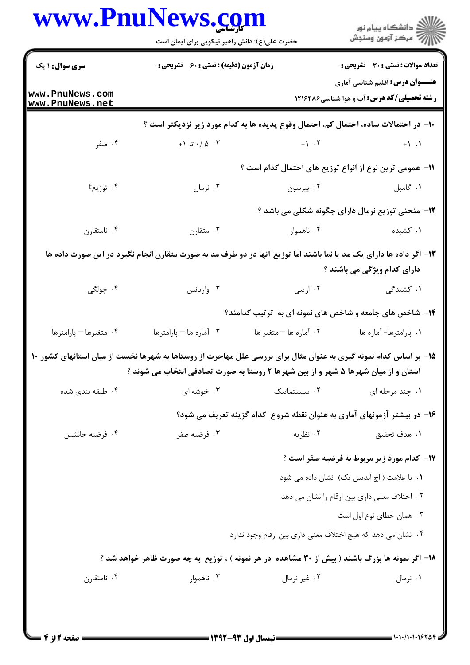| <b>سری سوال : ۱ یک</b><br>زمان آزمون (دقیقه) : تستی : 60 ٪ تشریحی : 0<br>www.PnuNews.com<br><b>رشته تحصیلی/کد درس:</b> آب و هوا شناسی4۲۱۶۴۸۶<br>www.PnuNews.net<br>∙ا− در احتمالات ساده، احتمال کم، احتمال وقوع پدیده ها به کدام مورد زیر نزدیکتر است ؟<br>۰۴ صفر<br>+، $\Delta$ /۰ تا ۰/۰<br>$\leftarrow$ 1.<br>11– عمومی ترین نوع از انواع توزیع های احتمال کدام است ؟<br>۰۴ توزیع <sup>†</sup><br>۰۳ نرمال<br>۰۱ گامبل میرسون .۲<br>۱۲- منحنی توزیع نرمال دارای چگونه شکلی می باشد ؟<br>۰۴ نامتقارن<br>۰۳ متقارن<br>۰۱ کشیده<br>۰۲ ناهموار<br>۱۳– اگر داده ها دارای یک مد یا نما باشند اما توزیع آنها در دو طرف مد به صورت متقارن انجام نگیرد در این صورت داده ها<br>دارای کدام ویژگی می باشند ؟<br>۰۴ چولگی<br>۰۳ واریانس<br>۰۱ کشیدگی<br>۰۲ اریبی<br>۱۴- شاخص های جامعه و شاخص های نمونه ای به ترتیب کدامند؟<br>۰۴ متغيرها - پارامترها<br>۰۳ آماره ها – پارامترها<br>۰۲ آماره ها - متغير ها<br>۰۱ پارامترها- آماره ها<br>۱۵– بر اساس کدام نمونه گیری به عنوان مثال برای بررسی علل مهاجرت از روستاها به شهرها نخست از میان استانهای کشور ۱۰<br>استان و از میان شهرها ۵ شهر و از بین شهرها ۲ روستا به صورت تصادفی انتخاب می شوند ؟<br>۰۳ خوشه ای<br>۰۲ سیستماتیک<br>۰۱ چند مرحله ای<br>۰۴ طبقه بندی شده<br>۱۶– در بیشتر آزمونهای آماری به عنوان نقطه شروع کدام گزینه تعریف می شود؟<br>۰۲ نظریه<br>۰۴ فرضيه جانشين<br>۰۳ فرضیه صفر<br>٠١. هدف تحقيق<br><b>۱۷</b> - کدام مورد زیر مربوط به فرضیه صفر است ؟<br>۰۱ با علامت ( اچ اندیس یک) نشان داده می شود<br>۰۲ اختلاف معنی داری بین ارقام را نشان می دهد<br>۰۳ همان خطای نوع اول است<br>۰۴ نشان می دهد که هیچ اختلاف معنی داری بین ارقام وجود ندارد<br>۱۸– اگر نمونه ها بزرگ باشند ( بیش از ۳۰ مشاهده ً در هر نمونه ) ، توزیع ً به چه صورت ظاهر خواهد شد ؟<br>ا نامتقا <sub>دن</sub> ۴ .<br>۰۳ ناهموار<br>۰۲ غیر نرمال<br>۰۱ نرمال | www.PnuNews.com<br>حضرت علی(ع): دانش راهبر نیکویی برای ایمان است | ڪ دانشڪاه پيام نور<br>پ <sup>ر</sup> مرڪز آزمون وسنڊش |
|--------------------------------------------------------------------------------------------------------------------------------------------------------------------------------------------------------------------------------------------------------------------------------------------------------------------------------------------------------------------------------------------------------------------------------------------------------------------------------------------------------------------------------------------------------------------------------------------------------------------------------------------------------------------------------------------------------------------------------------------------------------------------------------------------------------------------------------------------------------------------------------------------------------------------------------------------------------------------------------------------------------------------------------------------------------------------------------------------------------------------------------------------------------------------------------------------------------------------------------------------------------------------------------------------------------------------------------------------------------------------------------------------------------------------------------------------------------------------------------------------------------------------------------------------------------------------------------------------------------------------------------------------------------------------------------------------------------------------------------------------------------------------------------|------------------------------------------------------------------|-------------------------------------------------------|
|                                                                                                                                                                                                                                                                                                                                                                                                                                                                                                                                                                                                                                                                                                                                                                                                                                                                                                                                                                                                                                                                                                                                                                                                                                                                                                                                                                                                                                                                                                                                                                                                                                                                                                                                                                                      |                                                                  | <b>تعداد سوالات : تستی : 30 - تشریحی : 0</b>          |
|                                                                                                                                                                                                                                                                                                                                                                                                                                                                                                                                                                                                                                                                                                                                                                                                                                                                                                                                                                                                                                                                                                                                                                                                                                                                                                                                                                                                                                                                                                                                                                                                                                                                                                                                                                                      |                                                                  | <b>عنـــوان درس:</b> اقلیم شناسی آماری                |
|                                                                                                                                                                                                                                                                                                                                                                                                                                                                                                                                                                                                                                                                                                                                                                                                                                                                                                                                                                                                                                                                                                                                                                                                                                                                                                                                                                                                                                                                                                                                                                                                                                                                                                                                                                                      |                                                                  |                                                       |
|                                                                                                                                                                                                                                                                                                                                                                                                                                                                                                                                                                                                                                                                                                                                                                                                                                                                                                                                                                                                                                                                                                                                                                                                                                                                                                                                                                                                                                                                                                                                                                                                                                                                                                                                                                                      |                                                                  |                                                       |
|                                                                                                                                                                                                                                                                                                                                                                                                                                                                                                                                                                                                                                                                                                                                                                                                                                                                                                                                                                                                                                                                                                                                                                                                                                                                                                                                                                                                                                                                                                                                                                                                                                                                                                                                                                                      |                                                                  |                                                       |
|                                                                                                                                                                                                                                                                                                                                                                                                                                                                                                                                                                                                                                                                                                                                                                                                                                                                                                                                                                                                                                                                                                                                                                                                                                                                                                                                                                                                                                                                                                                                                                                                                                                                                                                                                                                      |                                                                  |                                                       |
|                                                                                                                                                                                                                                                                                                                                                                                                                                                                                                                                                                                                                                                                                                                                                                                                                                                                                                                                                                                                                                                                                                                                                                                                                                                                                                                                                                                                                                                                                                                                                                                                                                                                                                                                                                                      |                                                                  |                                                       |
|                                                                                                                                                                                                                                                                                                                                                                                                                                                                                                                                                                                                                                                                                                                                                                                                                                                                                                                                                                                                                                                                                                                                                                                                                                                                                                                                                                                                                                                                                                                                                                                                                                                                                                                                                                                      |                                                                  |                                                       |
|                                                                                                                                                                                                                                                                                                                                                                                                                                                                                                                                                                                                                                                                                                                                                                                                                                                                                                                                                                                                                                                                                                                                                                                                                                                                                                                                                                                                                                                                                                                                                                                                                                                                                                                                                                                      |                                                                  |                                                       |
|                                                                                                                                                                                                                                                                                                                                                                                                                                                                                                                                                                                                                                                                                                                                                                                                                                                                                                                                                                                                                                                                                                                                                                                                                                                                                                                                                                                                                                                                                                                                                                                                                                                                                                                                                                                      |                                                                  |                                                       |
|                                                                                                                                                                                                                                                                                                                                                                                                                                                                                                                                                                                                                                                                                                                                                                                                                                                                                                                                                                                                                                                                                                                                                                                                                                                                                                                                                                                                                                                                                                                                                                                                                                                                                                                                                                                      |                                                                  |                                                       |
|                                                                                                                                                                                                                                                                                                                                                                                                                                                                                                                                                                                                                                                                                                                                                                                                                                                                                                                                                                                                                                                                                                                                                                                                                                                                                                                                                                                                                                                                                                                                                                                                                                                                                                                                                                                      |                                                                  |                                                       |
|                                                                                                                                                                                                                                                                                                                                                                                                                                                                                                                                                                                                                                                                                                                                                                                                                                                                                                                                                                                                                                                                                                                                                                                                                                                                                                                                                                                                                                                                                                                                                                                                                                                                                                                                                                                      |                                                                  |                                                       |
|                                                                                                                                                                                                                                                                                                                                                                                                                                                                                                                                                                                                                                                                                                                                                                                                                                                                                                                                                                                                                                                                                                                                                                                                                                                                                                                                                                                                                                                                                                                                                                                                                                                                                                                                                                                      |                                                                  |                                                       |
|                                                                                                                                                                                                                                                                                                                                                                                                                                                                                                                                                                                                                                                                                                                                                                                                                                                                                                                                                                                                                                                                                                                                                                                                                                                                                                                                                                                                                                                                                                                                                                                                                                                                                                                                                                                      |                                                                  |                                                       |
|                                                                                                                                                                                                                                                                                                                                                                                                                                                                                                                                                                                                                                                                                                                                                                                                                                                                                                                                                                                                                                                                                                                                                                                                                                                                                                                                                                                                                                                                                                                                                                                                                                                                                                                                                                                      |                                                                  |                                                       |
|                                                                                                                                                                                                                                                                                                                                                                                                                                                                                                                                                                                                                                                                                                                                                                                                                                                                                                                                                                                                                                                                                                                                                                                                                                                                                                                                                                                                                                                                                                                                                                                                                                                                                                                                                                                      |                                                                  |                                                       |
|                                                                                                                                                                                                                                                                                                                                                                                                                                                                                                                                                                                                                                                                                                                                                                                                                                                                                                                                                                                                                                                                                                                                                                                                                                                                                                                                                                                                                                                                                                                                                                                                                                                                                                                                                                                      |                                                                  |                                                       |
|                                                                                                                                                                                                                                                                                                                                                                                                                                                                                                                                                                                                                                                                                                                                                                                                                                                                                                                                                                                                                                                                                                                                                                                                                                                                                                                                                                                                                                                                                                                                                                                                                                                                                                                                                                                      |                                                                  |                                                       |
|                                                                                                                                                                                                                                                                                                                                                                                                                                                                                                                                                                                                                                                                                                                                                                                                                                                                                                                                                                                                                                                                                                                                                                                                                                                                                                                                                                                                                                                                                                                                                                                                                                                                                                                                                                                      |                                                                  |                                                       |
|                                                                                                                                                                                                                                                                                                                                                                                                                                                                                                                                                                                                                                                                                                                                                                                                                                                                                                                                                                                                                                                                                                                                                                                                                                                                                                                                                                                                                                                                                                                                                                                                                                                                                                                                                                                      |                                                                  |                                                       |
|                                                                                                                                                                                                                                                                                                                                                                                                                                                                                                                                                                                                                                                                                                                                                                                                                                                                                                                                                                                                                                                                                                                                                                                                                                                                                                                                                                                                                                                                                                                                                                                                                                                                                                                                                                                      |                                                                  |                                                       |
|                                                                                                                                                                                                                                                                                                                                                                                                                                                                                                                                                                                                                                                                                                                                                                                                                                                                                                                                                                                                                                                                                                                                                                                                                                                                                                                                                                                                                                                                                                                                                                                                                                                                                                                                                                                      |                                                                  |                                                       |
|                                                                                                                                                                                                                                                                                                                                                                                                                                                                                                                                                                                                                                                                                                                                                                                                                                                                                                                                                                                                                                                                                                                                                                                                                                                                                                                                                                                                                                                                                                                                                                                                                                                                                                                                                                                      |                                                                  |                                                       |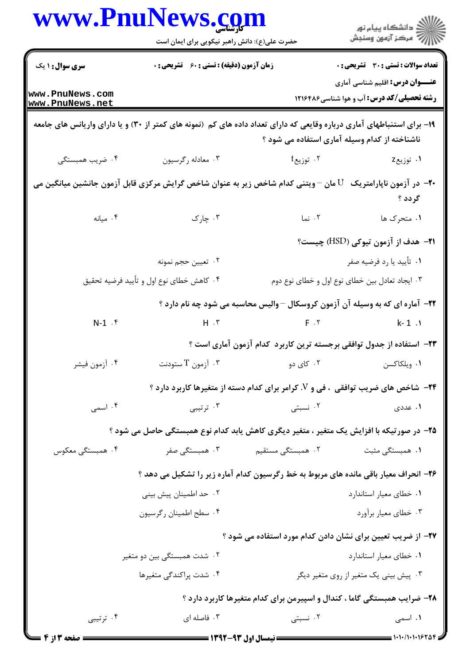|                                                                                                                                                                         | www.PnuNews.com<br>حضرت علی(ع): دانش راهبر نیکویی برای ایمان است     |                         | ر<br>دانشڪاه پيام نور)<br>ا∛ مرڪز آزمون وسنڊش                                              |  |
|-------------------------------------------------------------------------------------------------------------------------------------------------------------------------|----------------------------------------------------------------------|-------------------------|--------------------------------------------------------------------------------------------|--|
| <b>سری سوال :</b> ۱ یک                                                                                                                                                  | زمان آزمون (دقیقه) : تستی : 60 ٪ تشریحی : 0                          |                         | <b>تعداد سوالات : تستی : 30 ٪ تشریحی : 0</b>                                               |  |
| www.PnuNews.com<br>www.PnuNews.net                                                                                                                                      |                                                                      |                         | <b>عنـــوان درس:</b> اقلیم شناسی آماری<br><b>رشته تحصیلی/کد درس:</b> آب و هوا شناسی4۲۱۶۴۸۶ |  |
| ۱۹- برای استنباطهای آماری درباره وقایعی که دارای تعداد داده های کم (نمونه های کمتر از ۳۰) و یا دارای واریانس های جامعه<br>ناشناخته از کدام وسیله آماری استفاده می شود ؟ |                                                                      |                         |                                                                                            |  |
| ۰۴ ضریب همبستگی                                                                                                                                                         | ۰۳ معادله رگرسیون                                                    | ۰۲ توزیع†               | ۰۱ توزیعz                                                                                  |  |
| +۲- در آزمون ناپارامتریک ${\rm U}$ مان –ویتنی کدام شاخص زیر به عنوان شاخص گرایش مرکزی قابل آزمون جانشین میانگین می                                                      |                                                                      |                         | گر دد ؟                                                                                    |  |
| ا میانه $\cdot$ ۴                                                                                                                                                       | ۰۳ چارک                                                              | ۰۲ نما                  | ۰۱ متحرک ها                                                                                |  |
|                                                                                                                                                                         |                                                                      |                         | <b>۲۱</b> – هدف از آزمون تیوکی (HSD) چیست؟                                                 |  |
|                                                                                                                                                                         | ۰۲ تعيين حجم نمونه                                                   |                         | ۰۱ تأييد يا رد فرضيه صفر                                                                   |  |
|                                                                                                                                                                         | ۰۴ کاهش خطای نوع اول و تأیید فرضیه تحقیق                             |                         | ۰۳ ایجاد تعادل بین خطای نوع اول و خطای نوع دوم                                             |  |
|                                                                                                                                                                         |                                                                      |                         | ۲۲- آماره ای که به وسیله آن آزمون کروسکال –والیس محاسبه می شود چه نام دارد ؟               |  |
| $N-1$ $\cdot$ $\zeta$                                                                                                                                                   |                                                                      | $H \cdot Y$ $F \cdot Y$ | $k - 1$ .                                                                                  |  |
|                                                                                                                                                                         | ۲۳– استفاده از جدول توافقی برجسته ترین کاربرد کدام آزمون آماری است ؟ |                         |                                                                                            |  |
| ۰۴ أزمون فيشر                                                                                                                                                           | آزمون $\rm T$ ستودنت $\rm v$                                         |                         | ۰۱ ویلکاکسن میست در ۲۰۰ کای دو                                                             |  |
|                                                                                                                                                                         |                                                                      |                         | <b>۲۴</b> - شاخص های ضریب توافقی  ، فی و V. کرامر برای کدام دسته از متغیرها کاربرد دارد ؟  |  |
| ۰۴ اسمی                                                                                                                                                                 | ۰۳ ترتیبی                                                            | ۰۲ نسبتی                | ۰۱ عددی                                                                                    |  |
|                                                                                                                                                                         |                                                                      |                         | ۲۵- در صورتیکه با افزایش یک متغیر ، متغیر دیگری کاهش یابد کدام نوع همبستگی حاصل می شود ؟   |  |
| ۰۴ همبستگی معکوس                                                                                                                                                        | ۰۳ همبستگی صفر                                                       | ۲.  همبستگی مستقیم      | ۰۱ همبستگی مثبت                                                                            |  |
|                                                                                                                                                                         |                                                                      |                         | ۲۶- انحراف معیار باقی مانده های مربوط به خط رگرسیون کدام آماره زیر را تشکیل می دهد ؟       |  |
|                                                                                                                                                                         | ۰۲ حد اطمینان پیش بینی                                               |                         | ٠١ خطاي معيار استاندارد                                                                    |  |
|                                                                                                                                                                         | ۰۴ سطح اطمينان رگرسيون                                               |                         | ۰۳ خطاي معيار برأورد                                                                       |  |
|                                                                                                                                                                         |                                                                      |                         | ۲۷– از ضریب تعیین برای نشان دادن کدام مورد استفاده می شود ؟                                |  |
|                                                                                                                                                                         | ۰۲ شدت همبستگی بین دو متغیر                                          |                         | ٠١ خطاى معيار استاندارد                                                                    |  |
|                                                                                                                                                                         | ۰۴ شدت پراکندگی متغیرها                                              |                         | ۰۳ پیش بینی یک متغیر از روی متغیر دیگر                                                     |  |
|                                                                                                                                                                         |                                                                      |                         | ۲۸- ضرایب همبستگی گاما ، کندال و اسپیرمن برای کدام متغیرها کاربرد دارد ؟                   |  |
| ۰۴ ترتیبی                                                                                                                                                               | ۰۳ فاصله ای                                                          | ۰۲ نسبتی                | ۰۱ اسمی                                                                                    |  |
| <b>: صفحه 3 از 4</b>                                                                                                                                                    |                                                                      |                         | $1 - 1 - 11 - 197$                                                                         |  |